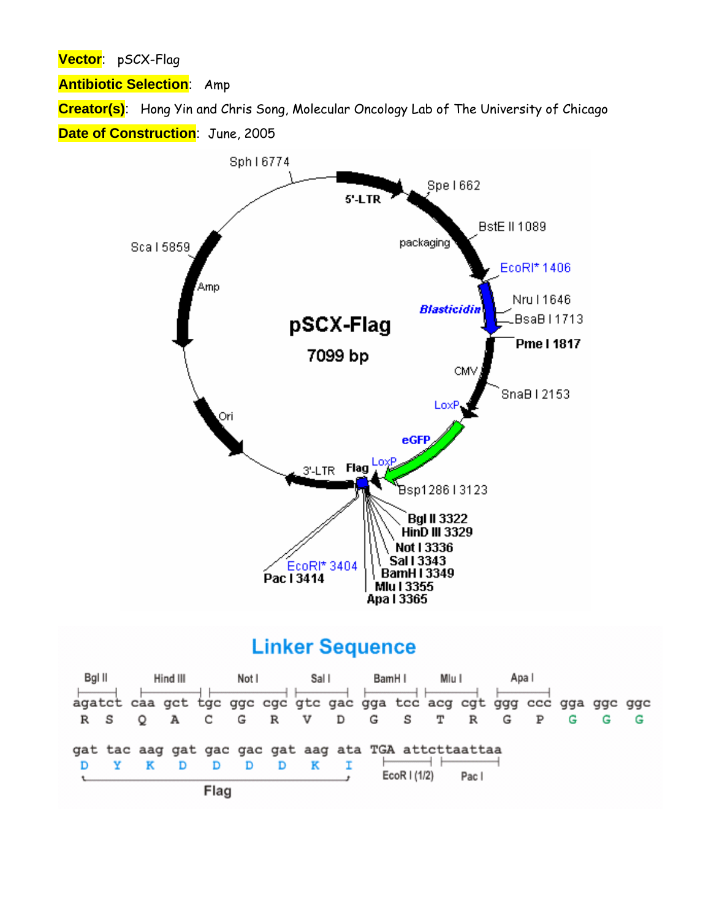**Vector**: pSCX-Flag

**Antibiotic Selection**: Amp

**Creator(s)**: Hong Yin and Chris Song, Molecular Oncology Lab of The University of Chicago **Date of Construction**: June, 2005



## **Linker Sequence**

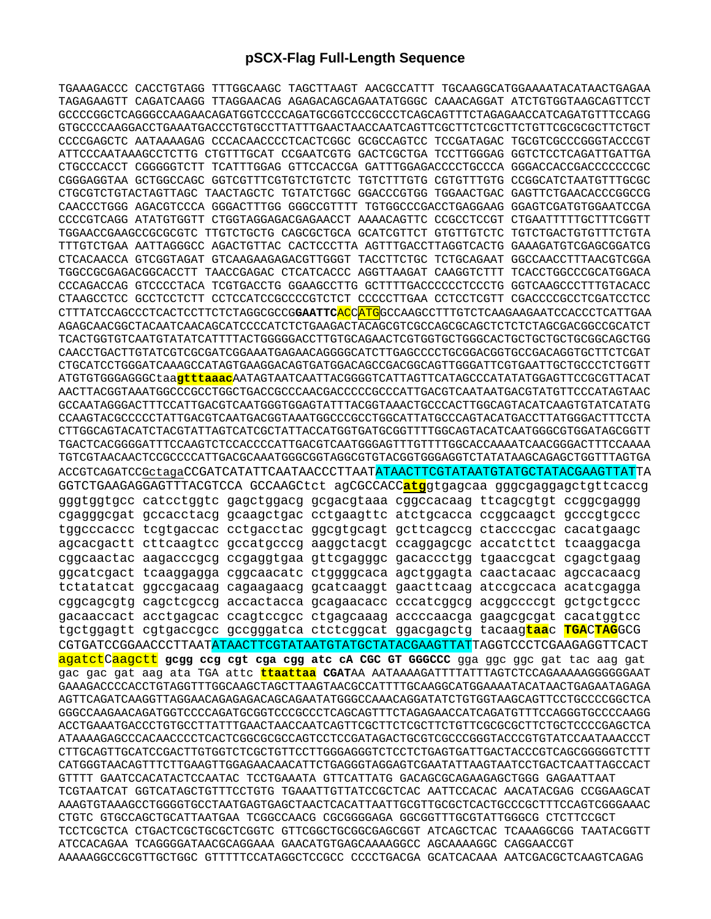## **pSCX-Flag Full-Length Sequence**

TGAAAGACCC CACCTGTAGG TTTGGCAAGC TAGCTTAAGT AACGCCATTT TGCAAGGCATGGAAAATACATAACTGAGAA TAGAGAAGTT CAGATCAAGG TTAGGAACAG AGAGACAGCAGAATATGGGC CAAACAGGAT ATCTGTGGTAAGCAGTTCCT GCCCCGGCTCAGGGCCAAGAACAGATGGTCCCCAGATGCGGTCCCGCCCTCAGCAGTTTCTAGAGAACCATCAGATGTTTCCAGG GTGCCCCAAGGACCTGAAATGACCCTGTGCCTTATTTGAACTAACCAATCAGTTCGCTTCTCGCTTCTGTTCGCGCGCTTCTGCT CCCCGAGCTC AATAAAAGAG CCCACAACCCCTCACTCGGC GCGCCAGTCC TCCGATAGAC TGCGTCGCCCGGGTACCCGT ATTCCCAATAAAGCCTCTTG CTGTTTGCAT CCGAATCGTG GACTCGCTGA TCCTTGGGAG GGTCTCCTCAGATTGATTGA CTGCCCACCT CGGGGGTCTT TCATTTGGAG GTTCCACCGA GATTTGGAGACCCCTGCCCA GGGACCACCGACCCCCCCGC CGGGAGGTAA GCTGGCCAGC GGTCGTTTCGTGTCTGTCTC TGTCTTTGTG CGTGTTTGTG CCGGCATCTAATGTTTGCGC CTGCGTCTGTACTAGTTAGC TAACTAGCTC TGTATCTGGC GGACCCGTGG TGGAACTGAC GAGTTCTGAACACCCGGCCG CAACCCTGGG AGACGTCCCA GGGACTTTGG GGGCCGTTTT TGTGGCCCGACCTGAGGAAG GGAGTCGATGTGGAATCCGA CCCCGTCAGG ATATGTGGTT CTGGTAGGAGACGAGAACCT AAAACAGTTC CCGCCTCCGT CTGAATTTTTGCTTTCGGTT TGGAACCGAAGCCGCGCGTC TTGTCTGCTG CAGCGCTGCA GCATCGTTCT GTGTTGTCTC TGTCTGACTGTGTTTCTGTA TTTGTCTGAA AATTAGGGCC AGACTGTTAC CACTCCCTTA AGTTTGACCTTAGGTCACTG GAAAGATGTCGAGCGGATCG CTCACAACCA GTCGGTAGAT GTCAAGAAGAGACGTTGGGT TACCTTCTGC TCTGCAGAAT GGCCAACCTTTAACGTCGGA TGGCCGCGAGACGGCACCTT TAACCGAGAC CTCATCACCC AGGTTAAGAT CAAGGTCTTT TCACCTGGCCCGCATGGACA CCCAGACCAG GTCCCCTACA TCGTGACCTG GGAAGCCTTG GCTTTTGACCCCCCTCCCTG GGTCAAGCCCTTTGTACACC CTAAGCCTCC GCCTCCTCTT CCTCCATCCGCCCCGTCTCT CCCCCTTGAA CCTCCTCGTT CGACCCCGCCTCGATCCTCC CTTTATCCAGCCCTCACTCCTTCTCTAGGCGCCG**GAATTC**ACCATGGCCAAGCCTTTGTCTCAAGAAGAATCCACCCTCATTGAA AGAGCAACGGCTACAATCAACAGCATCCCCATCTCTGAAGACTACAGCGTCGCCAGCGCAGCTCTCTCTAGCGACGGCCGCATCT TCACTGGTGTCAATGTATATCATTTTACTGGGGGACCTTGTGCAGAACTCGTGGTGCTGGGCACTGCTGCTGCTGCGGCAGCTGG CAACCTGACTTGTATCGTCGCGATCGGAAATGAGAACAGGGGCATCTTGAGCCCCTGCGGACGGTGCCGACAGGTGCTTCTCGAT CTGCATCCTGGGATCAAAGCCATAGTGAAGGACAGTGATGGACAGCCGACGGCAGTTGGGATTCGTGAATTGCTGCCCTCTGGTT ATGTGTGGGAGGGCtaa**gtttaaac**AATAGTAATCAATTACGGGGTCATTAGTTCATAGCCCATATATGGAGTTCCGCGTTACAT AACTTACGGTAAATGGCCCGCCTGGCTGACCGCCCAACGACCCCCGCCCATTGACGTCAATAATGACGTATGTTCCCATAGTAAC GCCAATAGGGACTTTCCATTGACGTCAATGGGTGGAGTATTTACGGTAAACTGCCCACTTGGCAGTACATCAAGTGTATCATATG CCAAGTACGCCCCCTATTGACGTCAATGACGGTAAATGGCCCGCCTGGCATTATGCCCAGTACATGACCTTATGGGACTTTCCTA CTTGGCAGTACATCTACGTATTAGTCATCGCTATTACCATGGTGATGCGGTTTTGGCAGTACATCAATGGGCGTGGATAGCGGTT TGACTCACGGGGATTTCCAAGTCTCCACCCCATTGACGTCAATGGGAGTTTGTTTTGGCACCAAAATCAACGGGACTTTCCAAAA TGTCGTAACAACTCCGCCCCATTGACGCAAATGGGCGGTAGGCGTGTACGGTGGGAGGTCTATATAAGCAGAGCTGGTTTAGTGA ACCGTCAGATCCGctagaCCGATCATATTCAATAACCCTTAATATAACTTCGTATAATGTATGCTATACGAAGTTATTA GGTCTGAAGAGGAGTTTACGTCCA GCCAAGCtct agCGCCACC**atg**gtgagcaa gggcgaggagctgttcaccg gggtggtgcc catcctggtc gagctggacg gcgacgtaaa cggccacaag ttcagcgtgt ccggcgaggg cgagggcgat gccacctacg gcaagctgac cctgaagttc atctgcacca ccggcaagct gcccgtgccc tggcccaccc tcgtgaccac cctgacctac ggcgtgcagt gcttcagccg ctaccccgac cacatgaagc agcacgactt cttcaagtcc gccatgcccg aaggctacgt ccaggagcgc accatcttct tcaaggacga cggcaactac aagacccgcg ccgaggtgaa gttcgagggc gacaccctgg tgaaccgcat cgagctgaag ggcatcgact tcaaggagga cggcaacatc ctggggcaca agctggagta caactacaac agccacaacg tctatatcat ggccgacaag cagaagaacg gcatcaaggt gaacttcaag atccgccaca acatcgagga cggcagcgtg cagctcgccg accactacca gcagaacacc cccatcggcg acggccccgt gctgctgccc gacaaccact acctgagcac ccagtccgcc ctgagcaaag accccaacga gaagcgcgat cacatggtcc tgctggagtt cgtgaccgcc gccgggatca ctctcggcat ggacgagctg tacaag**taa**c **TGA**C**TAG**GCG CGTGATCCGGAACCCTTAATATAACTTCGTATAATGTATGCTATACGAAGTTATTAGGTCCCTCGAAGAGGTTCACT agatctCaagctt **gcgg ccg cgt cga cgg atc cA CGC GT GGGCCC** gga ggc ggc gat tac aag gat gac gac gat aag ata TGA attc **ttaattaa CGAT**AA AATAAAAGATTTTATTTAGTCTCCAGAAAAAGGGGGGAAT GAAAGACCCCACCTGTAGGTTTGGCAAGCTAGCTTAAGTAACGCCATTTTGCAAGGCATGGAAAATACATAACTGAGAATAGAGA AGTTCAGATCAAGGTTAGGAACAGAGAGACAGCAGAATATGGGCCAAACAGGATATCTGTGGTAAGCAGTTCCTGCCCCGGCTCA GGGCCAAGAACAGATGGTCCCCAGATGCGGTCCCGCCCTCAGCAGTTTCTAGAGAACCATCAGATGTTTCCAGGGTGCCCCAAGG ACCTGAAATGACCCTGTGCCTTATTTGAACTAACCAATCAGTTCGCTTCTCGCTTCTGTTCGCGCGCTTCTGCTCCCCGAGCTCA ATAAAAGAGCCCACAACCCCTCACTCGGCGCGCCAGTCCTCCGATAGACTGCGTCGCCCGGGTACCCGTGTATCCAATAAACCCT CTTGCAGTTGCATCCGACTTGTGGTCTCGCTGTTCCTTGGGAGGGTCTCCTCTGAGTGATTGACTACCCGTCAGCGGGGGTCTTT CATGGGTAACAGTTTCTTGAAGTTGGAGAACAACATTCTGAGGGTAGGAGTCGAATATTAAGTAATCCTGACTCAATTAGCCACT GTTTT GAATCCACATACTCCAATAC TCCTGAAATA GTTCATTATG GACAGCGCAGAAGAGCTGGG GAGAATTAAT TCGTAATCAT GGTCATAGCTGTTTCCTGTG TGAAATTGTTATCCGCTCAC AATTCCACAC AACATACGAG CCGGAAGCAT AAAGTGTAAAGCCTGGGGTGCCTAATGAGTGAGCTAACTCACATTAATTGCGTTGCGCTCACTGCCCGCTTTCCAGTCGGGAAAC CTGTC GTGCCAGCTGCATTAATGAA TCGGCCAACG CGCGGGGAGA GGCGGTTTGCGTATTGGGCG CTCTTCCGCT TCCTCGCTCA CTGACTCGCTGCGCTCGGTC GTTCGGCTGCGGCGAGCGGT ATCAGCTCAC TCAAAGGCGG TAATACGGTT ATCCACAGAA TCAGGGGATAACGCAGGAAA GAACATGTGAGCAAAAGGCC AGCAAAAGGC CAGGAACCGT AAAAAGGCCGCGTTGCTGGC GTTTTTCCATAGGCTCCGCC CCCCTGACGA GCATCACAAA AATCGACGCTCAAGTCAGAG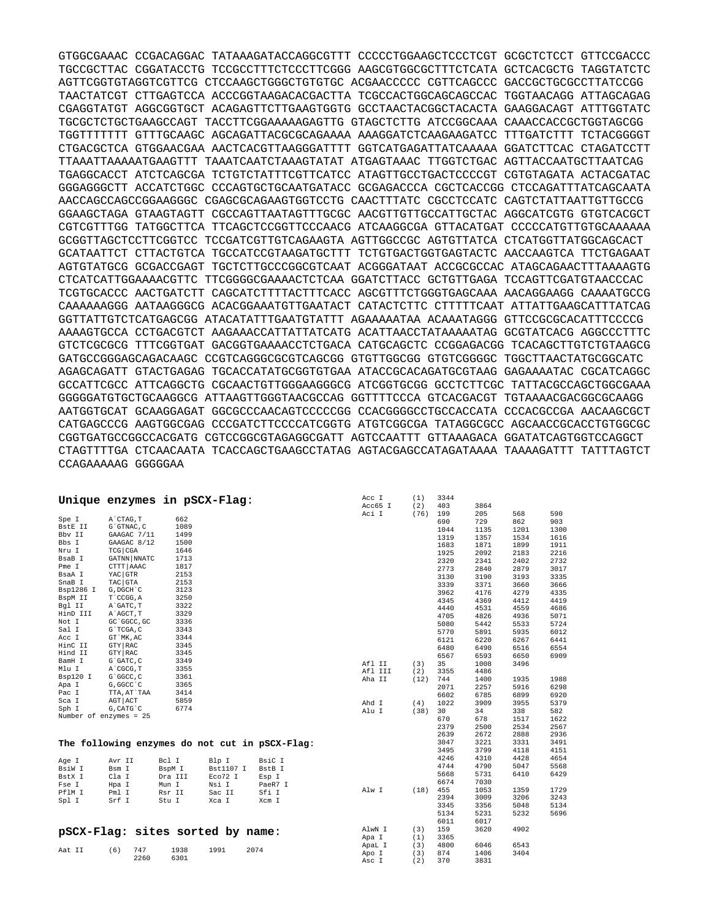GTGGCGAAAC CCGACAGGAC TATAAAGATACCAGGCGTTT CCCCCTGGAAGCTCCCTCGT GCGCTCTCCT GTTCCGACCC TGCCGCTTAC CGGATACCTG TCCGCCTTTCTCCCTTCGGG AAGCGTGGCGCTTTCTCATA GCTCACGCTG TAGGTATCTC AGTTCGGTGTAGGTCGTTCG CTCCAAGCTGGGCTGTGTGC ACGAACCCCC CGTTCAGCCC GACCGCTGCGCCTTATCCGG TAACTATCGT CTTGAGTCCA ACCCGGTAAGACACGACTTA TCGCCACTGGCAGCAGCCAC TGGTAACAGG ATTAGCAGAG CGAGGTATGT AGGCGGTGCT ACAGAGTTCTTGAAGTGGTG GCCTAACTACGGCTACACTA GAAGGACAGT ATTTGGTATC TGCGCTCTGCTGAAGCCAGT TACCTTCGGAAAAAGAGTTG GTAGCTCTTG ATCCGGCAAA CAAACCACCGCTGGTAGCGG TGGTTTTTTT GTTTGCAAGC AGCAGATTACGCGCAGAAAA AAAGGATCTCAAGAAGATCC TTTGATCTTT TCTACGGGGT CTGACGCTCA GTGGAACGAA AACTCACGTTAAGGGATTTT GGTCATGAGATTATCAAAAA GGATCTTCAC CTAGATCCTT TTAAATTAAAAATGAAGTTT TAAATCAATCTAAAGTATAT ATGAGTAAAC TTGGTCTGAC AGTTACCAATGCTTAATCAG TGAGGCACCT ATCTCAGCGA TCTGTCTATTTCGTTCATCC ATAGTTGCCTGACTCCCCGT CGTGTAGATA ACTACGATAC GGGAGGGCTT ACCATCTGGC CCCAGTGCTGCAATGATACC GCGAGACCCA CGCTCACCGG CTCCAGATTTATCAGCAATA AACCAGCCAGCCGGAAGGGC CGAGCGCAGAAGTGGTCCTG CAACTTTATC CGCCTCCATC CAGTCTATTAATTGTTGCCG GGAAGCTAGA GTAAGTAGTT CGCCAGTTAATAGTTTGCGC AACGTTGTTGCCATTGCTAC AGGCATCGTG GTGTCACGCT CGTCGTTTGG TATGGCTTCA TTCAGCTCCGGTTCCCAACG ATCAAGGCGA GTTACATGAT CCCCCATGTTGTGCAAAAAA GCGGTTAGCTCCTTCGGTCC TCCGATCGTTGTCAGAAGTA AGTTGGCCGC AGTGTTATCA CTCATGGTTATGGCAGCACT GCATAATTCT CTTACTGTCA TGCCATCCGTAAGATGCTTT TCTGTGACTGGTGAGTACTC AACCAAGTCA TTCTGAGAAT AGTGTATGCG GCGACCGAGT TGCTCTTGCCCGGCGTCAAT ACGGGATAAT ACCGCGCCAC ATAGCAGAACTTTAAAAGTG CTCATCATTGGAAAACGTTC TTCGGGGCGAAAACTCTCAA GGATCTTACC GCTGTTGAGA TCCAGTTCGATGTAACCCAC TCGTGCACCC AACTGATCTT CAGCATCTTTTACTTTCACC AGCGTTTCTGGGTGAGCAAA AACAGGAAGG CAAAATGCCG CAAAAAAGGG AATAAGGGCG ACACGGAAATGTTGAATACT CATACTCTTC CTTTTTCAAT ATTATTGAAGCATTTATCAG GGTTATTGTCTCATGAGCGG ATACATATTTGAATGTATTT AGAAAAATAA ACAAATAGGG GTTCCGCGCACATTTCCCCG AAAAGTGCCA CCTGACGTCT AAGAAACCATTATTATCATG ACATTAACCTATAAAAATAG GCGTATCACG AGGCCCTTTC GTCTCGCGCG TTTCGGTGAT GACGGTGAAAACCTCTGACA CATGCAGCTC CCGGAGACGG TCACAGCTTGTCTGTAAGCG GATGCCGGGAGCAGACAAGC CCGTCAGGGCGCGTCAGCGG GTGTTGGCGG GTGTCGGGGC TGGCTTAACTATGCGGCATC AGAGCAGATT GTACTGAGAG TGCACCATATGCGGTGTGAA ATACCGCACAGATGCGTAAG GAGAAAATAC CGCATCAGGC GCCATTCGCC ATTCAGGCTG CGCAACTGTTGGGAAGGGCG ATCGGTGCGG GCCTCTTCGC TATTACGCCAGCTGGCGAAA GGGGGATGTGCTGCAAGGCG ATTAAGTTGGGTAACGCCAG GGTTTTCCCA GTCACGACGT TGTAAAACGACGGCGCAAGG AATGGTGCAT GCAAGGAGAT GGCGCCCAACAGTCCCCCGG CCACGGGGCCTGCCACCATA CCCACGCCGA AACAAGCGCT CATGAGCCCG AAGTGGCGAG CCCGATCTTCCCCATCGGTG ATGTCGGCGA TATAGGCGCC AGCAACCGCACCTGTGGCGC CGGTGATGCCGGCCACGATG CGTCCGGCGTAGAGGCGATT AGTCCAATTT GTTAAAGACA GGATATCAGTGGTCCAGGCT CTAGTTTTGA CTCAACAATA TCACCAGCTGAAGCCTATAG AGTACGAGCCATAGATAAAA TAAAAGATTT TATTTAGTCT CCAGAAAAAG GGGGGAA

|                          | Unique enzymes in pSCX-Flag:     |         |           |                                                | Acc I<br>Acc65 I | (1)<br>(2) | 3344<br>403  | 3864         |              |              |
|--------------------------|----------------------------------|---------|-----------|------------------------------------------------|------------------|------------|--------------|--------------|--------------|--------------|
| Spe I                    | A CTAG, T                        | 662     |           |                                                | Aci I            | (76)       | 199          | 205          | 568          | 590          |
| BstE II                  | G`GTNAC, C                       | 1089    |           |                                                |                  |            | 690          | 729          | 862          | 903          |
| Bby II                   | GAAGAC 7/11                      | 1499    |           |                                                |                  |            | 1044         | 1135         | 1201         | 1300         |
| Bbs I                    | GAAGAC 8/12                      | 1500    |           |                                                |                  |            | 1319         | 1357         | 1534         | 1616         |
| Nru I                    | TCG CGA                          | 1646    |           |                                                |                  |            | 1683         | 1871         | 1899         | 1911         |
| BsaB I                   | GATNN NNATC                      | 1713    |           |                                                |                  |            | 1925         | 2092         | 2183         | 2216         |
| Pme I                    | CTTT AAAC                        | 1817    |           |                                                |                  |            | 2320         | 2341         | 2402         | 2732         |
| BsaA I                   | YAC GTR                          | 2153    |           |                                                |                  |            | 2773         | 2840         | 2879         | 3017         |
| SnaB I                   | TAC GTA                          | 2153    |           |                                                |                  |            | 3130<br>3339 | 3190<br>3371 | 3193<br>3660 | 3335<br>3666 |
| Bsp1286 I                | G, DGCH C                        | 3123    |           |                                                |                  |            | 3962         | 4176         | 4279         |              |
| BspM II                  | T`CCGG, A                        | 3250    |           |                                                |                  |            |              | 4369         |              | 4335         |
| Bgl II                   | A GATC, T                        | 3322    |           |                                                |                  |            | 4345<br>4440 | 4531         | 4412<br>4559 | 4419<br>4686 |
| HinD III                 | A`AGCT, T                        | 3329    |           |                                                |                  |            | 4705         | 4826         | 4936         | 5071         |
| Not I                    | GC GGCC, GC                      | 3336    |           |                                                |                  |            | 5080         | 5442         | 5533         | 5724         |
| Sal I                    | G`TCGA, C                        | 3343    |           |                                                |                  |            | 5770         | 5891         | 5935         | 6012         |
| Acc I                    | GT MK, AC                        | 3344    |           |                                                |                  |            | 6121         | 6220         | 6267         | 6441         |
| HinC II                  | GTY RAC                          | 3345    |           |                                                |                  |            | 6480         | 6490         | 6516         | 6554         |
| Hind II                  | GTY RAC                          | 3345    |           |                                                |                  |            | 6567         | 6593         | 6650         | 6909         |
| BamH I                   | G`GATC, C                        | 3349    |           |                                                | Afl II           | (3)        | 35           | 1008         | 3496         |              |
| Mlu I                    | A CGCG, T                        | 3355    |           |                                                | Afl III          | (2)        | 3355         | 4486         |              |              |
| Bsp120 I                 | G`GGCC, C                        | 3361    |           |                                                | Aha II           | (12)       | 744          | 1400         | 1935         | 1988         |
| Apa I                    | G, GGCC C                        | 3365    |           |                                                |                  |            | 2071         | 2257         | 5916         | 6298         |
| Pac I                    | TTA, AT`TAA                      | 3414    |           |                                                |                  |            | 6602         | 6785         | 6899         | 6920         |
| Sca I                    | AGT ACT                          | 5859    |           |                                                | Ahd I            | (4)        | 1022         | 3909         | 3955         | 5379         |
| Sph I                    | G, CATG C                        | 6774    |           |                                                | Alu I            | (38)       | 30           | 34           | 338          | 582          |
| Number of enzymes = $25$ |                                  |         |           |                                                |                  |            | 670          | 678          | 1517         | 1622         |
|                          |                                  |         |           |                                                |                  |            | 2379         | 2500         | 2534         | 2567         |
|                          |                                  |         |           |                                                |                  |            | 2639         | 2672         | 2888         | 2936         |
|                          |                                  |         |           | The following enzymes do not cut in pSCX-Flag: |                  |            | 3047         | 3221         | 3331         | 3491         |
|                          |                                  |         |           |                                                |                  |            | 3495         | 3799         | 4118         | 4151         |
| Age I                    | Avr II                           | Bcl I   | Blp I     | BsiC I                                         |                  |            | 4246         | 4310         | 4428         | 4654         |
| BsiW I                   | Bsm I                            | BspM I  | Bst1107 I | BstB I                                         |                  |            | 4744         | 4790         | 5047         | 5568         |
| BstX I                   | Cla I                            | Dra III | Eco72 I   | Esp I                                          |                  |            | 5668         | 5731         | 6410         | 6429         |
| Fse I                    | Hpa I                            | Mun I   | Nsi I     | PaeR7 I                                        |                  |            | 6674         | 7030         |              |              |
| PflM I                   | Pml I                            | Rsr II  | Sac II    | Sfi I                                          | Alw I            | (18)       | 455          | 1053         | 1359         | 1729         |
| Spl I                    | Srf I                            | Stu I   | Xca I     | Xcm I                                          |                  |            | 2394         | 3009         | 3206         | 3243         |
|                          |                                  |         |           |                                                |                  |            | 3345         | 3356         | 5048         | 5134         |
|                          |                                  |         |           |                                                |                  |            | 5134         | 5231         | 5232         | 5696         |
|                          |                                  |         |           |                                                |                  |            | 6011         | 6017         |              |              |
|                          | pSCX-Flag: sites sorted by name: |         |           |                                                | AlwN I           | (3)        | 159          | 3620         | 4902         |              |
|                          |                                  |         |           |                                                | Apa I            | (1)        | 3365         |              |              |              |
| Aat II                   | (6)<br>747                       | 1938    | 1991      | 2074                                           | ApaL I           | (3)        | 4800         | 6046         | 6543         |              |
|                          | 2260                             | 6301    |           |                                                | Apo I            | (3)        | 874          | 1406         | 3404         |              |
|                          |                                  |         |           |                                                | Asc I            | (2)        | 370          | 3831         |              |              |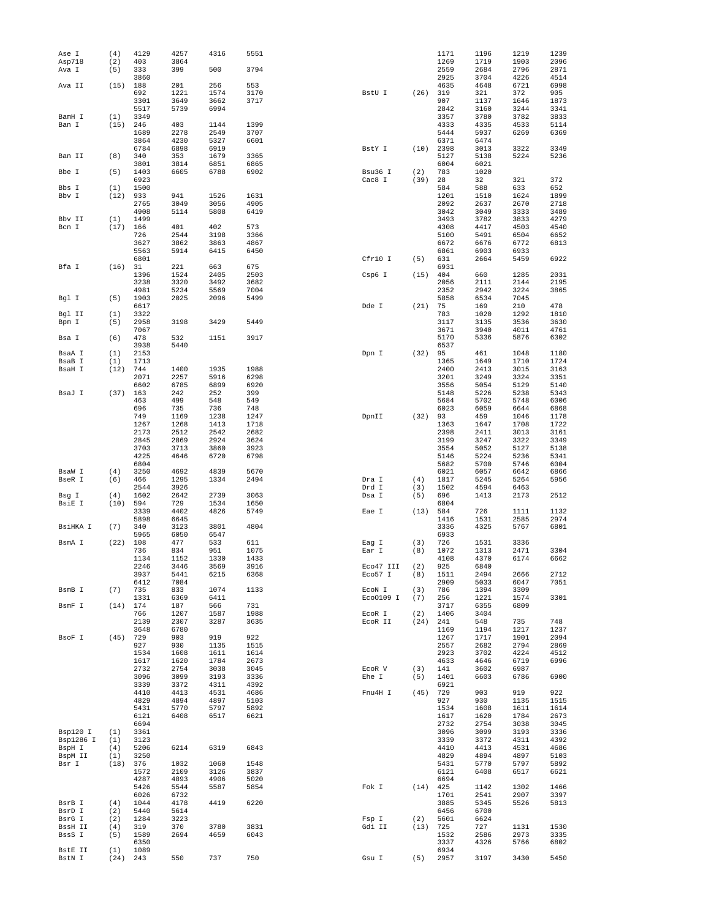| Ase I               | (4)        | 4129         | 4257         | 4316         | 5551         |                      |             | 1171         | 1196         | 1219         | 1239         |
|---------------------|------------|--------------|--------------|--------------|--------------|----------------------|-------------|--------------|--------------|--------------|--------------|
| Asp718<br>Ava I     | (2)<br>(5) | 403<br>333   | 3864<br>399  | 500          | 3794         |                      |             | 1269<br>2559 | 1719<br>2684 | 1903<br>2796 | 2096<br>2871 |
|                     |            | 3860         |              |              |              |                      |             | 2925         | 3704         | 4226         | 4514         |
| Ava II              | (15)       | 188          | 201          | 256          | 553          |                      |             | 4635         | 4648         | 6721         | 6998         |
|                     |            | 692          | 1221         | 1574         | 3170         | BstU I               | (26)        | 319          | 321          | 372          | 905          |
|                     |            | 3301<br>5517 | 3649<br>5739 | 3662<br>6994 | 3717         |                      |             | 907<br>2842  | 1137<br>3160 | 1646<br>3244 | 1873<br>3341 |
| BamH I              | (1)        | 3349         |              |              |              |                      |             | 3357         | 3780         | 3782         | 3833         |
| Ban I               | (15)       | 246          | 403          | 1144         | 1399         |                      |             | 4333         | 4335         | 4533         | 5114         |
|                     |            | 1689         | 2278         | 2549         | 3707         |                      |             | 5444         | 5937         | 6269         | 6369         |
|                     |            | 3864<br>6784 | 4230<br>6898 | 5327<br>6919 | 6601         | BstY I               | (10)        | 6371<br>2398 | 6474<br>3013 | 3322         | 3349         |
| Ban II              | (8)        | 340          | 353          | 1679         | 3365         |                      |             | 5127         | 5138         | 5224         | 5236         |
|                     |            | 3801         | 3814         | 6851         | 6865         |                      |             | 6004         | 6021         |              |              |
| Bbe I               | (5)        | 1403         | 6605         | 6788         | 6902         | Bsu36 I              | (2)         | 783          | 1020         |              |              |
| Bbs I               | (1)        | 6923<br>1500 |              |              |              | Cac8 I               | (39)        | 28<br>584    | 32<br>588    | 321<br>633   | 372<br>652   |
| Bbv I               | (12)       | 933          | 941          | 1526         | 1631         |                      |             | 1201         | 1510         | 1624         | 1899         |
|                     |            | 2765         | 3049         | 3056         | 4905         |                      |             | 2092         | 2637         | 2670         | 2718         |
|                     |            | 4908         | 5114         | 5808         | 6419         |                      |             | 3042         | 3049         | 3333         | 3489         |
| Bbv II              | (1)        | 1499         |              |              |              |                      |             | 3493         | 3782         | 3833         | 4279         |
| Bcn I               | (17)       | 166<br>726   | 401<br>2544  | 402<br>3198  | 573<br>3366  |                      |             | 4308<br>5100 | 4417<br>5491 | 4503<br>6504 | 4540<br>6652 |
|                     |            | 3627         | 3862         | 3863         | 4867         |                      |             | 6672         | 6676         | 6772         | 6813         |
|                     |            | 5563         | 5914         | 6415         | 6450         |                      |             | 6861         | 6903         | 6933         |              |
|                     |            | 6801         |              |              |              | Cfr10 I              | (5)         | 631          | 2664         | 5459         | 6922         |
| Bfa I               | (16)       | 31<br>1396   | 221<br>1524  | 663<br>2405  | 675<br>2503  | Csp6 I               | (15)        | 6931<br>404  | 660          | 1285         | 2031         |
|                     |            | 3238         | 3320         | 3492         | 3682         |                      |             | 2056         | 2111         | 2144         | 2195         |
|                     |            | 4981         | 5234         | 5569         | 7004         |                      |             | 2352         | 2942         | 3224         | 3865         |
| Bgl I               | (5)        | 1903         | 2025         | 2096         | 5499         |                      |             | 5858         | 6534         | 7045         |              |
|                     |            | 6617<br>3322 |              |              |              | Dde I                | (21)        | 75<br>783    | 169          | 210<br>1292  | 478<br>1810  |
| Bgl II<br>Bpm I     | (1)<br>(5) | 2958         | 3198         | 3429         | 5449         |                      |             | 3117         | 1020<br>3135 | 3536         | 3630         |
|                     |            | 7067         |              |              |              |                      |             | 3671         | 3940         | 4011         | 4761         |
| Bsa I               | (6)        | 478          | 532          | 1151         | 3917         |                      |             | 5170         | 5336         | 5876         | 6302         |
|                     |            | 3938         | 5440         |              |              |                      |             | 6537         |              |              |              |
| BsaA I<br>BsaB I    | (1)<br>(1) | 2153<br>1713 |              |              |              | Dpn I                | (32)        | 95<br>1365   | 461<br>1649  | 1048<br>1710 | 1180<br>1724 |
| BsaH I              | (12)       | 744          | 1400         | 1935         | 1988         |                      |             | 2400         | 2413         | 3015         | 3163         |
|                     |            | 2071         | 2257         | 5916         | 6298         |                      |             | 3201         | 3249         | 3324         | 3351         |
|                     |            | 6602         | 6785         | 6899         | 6920         |                      |             | 3556         | 5054         | 5129         | 5140         |
| BsaJ I              | $(37)$ 163 | 463          | 242<br>499   | 252<br>548   | 399<br>549   |                      |             | 5148<br>5684 | 5226         | 5238<br>5748 | 5343<br>6006 |
|                     |            | 696          | 735          | 736          | 748          |                      |             | 6023         | 5702<br>6059 | 6644         | 6868         |
|                     |            | 749          | 1169         | 1238         | 1247         | DpnII                | (32)        | 93           | 459          | 1046         | 1178         |
|                     |            | 1267         | 1268         | 1413         | 1718         |                      |             | 1363         | 1647         | 1708         | 1722         |
|                     |            | 2173         | 2512         | 2542         | 2682         |                      |             | 2398         | 2411         | 3013         | 3161         |
|                     |            | 2845<br>3703 | 2869<br>3713 | 2924<br>3860 | 3624<br>3923 |                      |             | 3199<br>3554 | 3247<br>5052 | 3322<br>5127 | 3349<br>5138 |
|                     |            | 4225         | 4646         | 6720         | 6798         |                      |             | 5146         | 5224         | 5236         | 5341         |
|                     |            | 6804         |              |              |              |                      |             | 5682         | 5700         | 5746         | 6004         |
| BsaW I              | (4)        | 3250         | 4692         | 4839         | 5670         |                      |             | 6021         | 6057         | 6642         | 6866         |
| BseR I              | (6)        | 466          | 1295         | 1334         | 2494         | Dra I                | (4)         | 1817         | 5245         | 5264         | 5956         |
| Bsg I               | (4)        | 2544<br>1602 | 3926<br>2642 | 2739         | 3063         | Drd I<br>Dsa I       | (3)<br>(5)  | 1502<br>696  | 4594<br>1413 | 6463<br>2173 | 2512         |
| BsiE I              | (10)       | 594          | 729          | 1534         | 1650         |                      |             | 6804         |              |              |              |
|                     |            | 3339         | 4402         | 4826         | 5749         | Eae I                | (13)        | 584          | 726          | 1111         | 1132         |
|                     |            | 5898         | 6645         |              |              |                      |             | 1416         | 1531         | 2585         | 2974         |
| BsiHKA I            | (7)        | 340<br>5965  | 3123<br>6050 | 3801<br>6547 | 4804         |                      |             | 3336<br>6933 | 4325         | 5767         | 6801         |
| BsmA I              | (22)       | 108          | 477          | 533          | 611          | Eag I                | (3)         | 726          | 1531         | 3336         |              |
|                     |            | 736          | 834          | 951          | 1075         | Ear I                | (8)         | 1072         | 1313         | 2471         | 3304         |
|                     |            | 1134         | 1152         | 1330         | 1433         |                      |             | 4108         | 4370         | 6174         | 6662         |
|                     |            | 2246<br>3937 | 3446<br>5441 | 3569<br>6215 | 3916<br>6368 | Eco47 III<br>Eco57 I | (2)<br>(8)  | 925<br>1511  | 6840<br>2494 | 2666         | 2712         |
|                     |            | 6412         | 7084         |              |              |                      |             | 2909         | 5033         | 6047         | 7051         |
| BsmB I              | (7)        | 735          | 833          | 1074         | 1133         | ECON I               | (3)         | 786          | 1394         | 3309         |              |
|                     |            | 1331         | 6369         | 6411         |              | Eco0109 I            | (7)         | 256          | 1221         | 1574         | 3301         |
| BsmF I              | (14)       | 174          | 187          | 566          | 731          |                      |             | 3717         | 6355         | 6809         |              |
|                     |            | 766<br>2139  | 1207<br>2307 | 1587<br>3287 | 1988<br>3635 | ECOR I<br>ECOR II    | (2)<br>(24) | 1406<br>241  | 3404<br>548  | 735          | 748          |
|                     |            | 3648         | 6780         |              |              |                      |             | 1169         | 1194         | 1217         | 1237         |
| BsoF I              | $(45)$ 729 |              | 903          | 919          | 922          |                      |             | 1267         | 1717         | 1901         | 2094         |
|                     |            | 927<br>1534  | 930          | 1135         | 1515         |                      |             | 2557         | 2682         | 2794         | 2869<br>4512 |
|                     |            | 1617         | 1608<br>1620 | 1611<br>1784 | 1614<br>2673 |                      |             | 2923<br>4633 | 3702<br>4646 | 4224<br>6719 | 6996         |
|                     |            | 2732         | 2754         | 3038         | 3045         | ECOR V               | (3)         | 141          | 3602         | 6987         |              |
|                     |            | 3096         | 3099         | 3193         | 3336         | Ehe I                | (5)         | 1401         | 6603         | 6786         | 6900         |
|                     |            | 3339         | 3372         | 4311         | 4392         |                      |             | 6921         |              |              |              |
|                     |            | 4410         | 4413         | 4531         | 4686         | Fnu4H I              | (45)        | 729<br>927   | 903          | 919<br>1135  | 922<br>1515  |
|                     |            | 4829<br>5431 | 4894<br>5770 | 4897<br>5797 | 5103<br>5892 |                      |             | 1534         | 930<br>1608  | 1611         | 1614         |
|                     |            | 6121         | 6408         | 6517         | 6621         |                      |             | 1617         | 1620         | 1784         | 2673         |
|                     |            | 6694         |              |              |              |                      |             | 2732         | 2754         | 3038         | 3045         |
| Bsp120 I            | (1)        | 3361         |              |              |              |                      |             | 3096         | 3099         | 3193         | 3336         |
| Bsp1286 I<br>BspH I | (1)<br>(4) | 3123<br>5206 | 6214         | 6319         | 6843         |                      |             | 3339<br>4410 | 3372<br>4413 | 4311<br>4531 | 4392<br>4686 |
| BspM II             | (1)        | 3250         |              |              |              |                      |             | 4829         | 4894         | 4897         | 5103         |
| Bsr I               | (18)       | 376          | 1032         | 1060         | 1548         |                      |             | 5431         | 5770         | 5797         | 5892         |
|                     |            | 1572         | 2109         | 3126         | 3837         |                      |             | 6121         | 6408         | 6517         | 6621         |
|                     |            | 4287         | 4893         | 4906         | 5020         |                      |             | 6694         |              |              |              |
|                     |            | 5426<br>6026 | 5544<br>6732 | 5587         | 5854         | Fok I                | (14)        | 425<br>1701  | 1142<br>2541 | 1302<br>2907 | 1466<br>3397 |
| BsrB I              | (4)        | 1044         | 4178         | 4419         | 6220         |                      |             | 3885         | 5345         | 5526         | 5813         |
| BsrD I              | (2)        | 5440         | 5614         |              |              |                      |             | 6456         | 6700         |              |              |
| BsrG I              | (2)        | 1284         | 3223         |              |              | Fsp I                | (2)         | 5601         | 6624         |              |              |
| BssH II<br>BssS I   | (4)<br>(5) | 319<br>1589  | 370<br>2694  | 3780<br>4659 | 3831<br>6043 | Gdi II               | (13)        | 725<br>1532  | 727<br>2586  | 1131<br>2973 | 1530<br>3335 |
|                     |            | 6350         |              |              |              |                      |             | 3337         | 4326         | 5766         | 6802         |
| BstE II             | (1)        | 1089         |              |              |              |                      |             | 6934         |              |              |              |
| BstN I              | (24)       | 243          | 550          | 737          | 750          | Gsu I                | (5)         | 2957         | 3197         | 3430         | 5450         |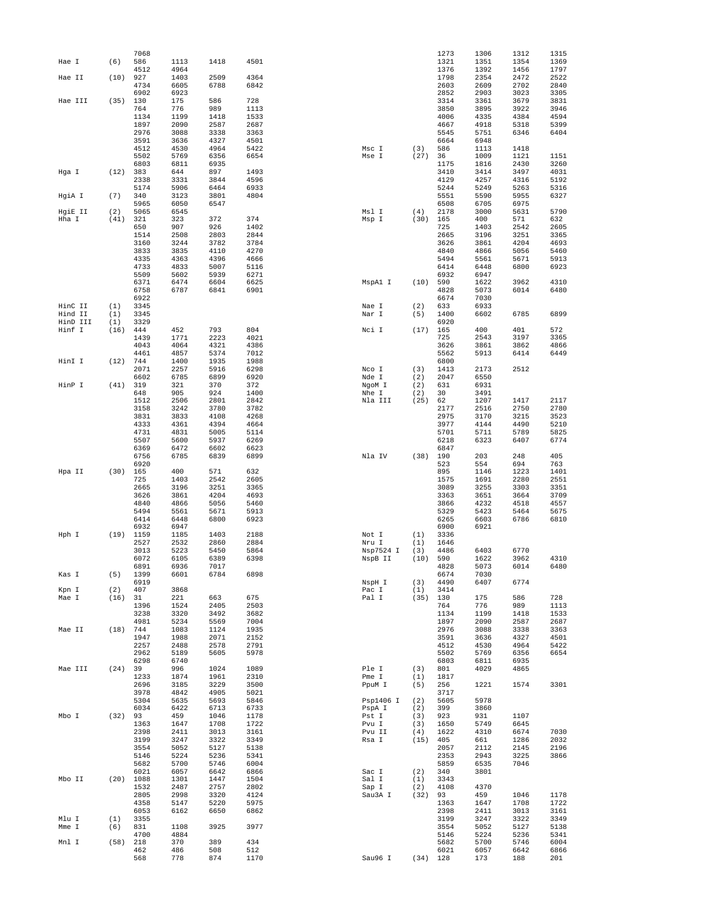|                    |             | 7068         |              |              |              |                 |             | 1273         | 1306         | 1312         | 1315         |
|--------------------|-------------|--------------|--------------|--------------|--------------|-----------------|-------------|--------------|--------------|--------------|--------------|
| Hae I              | (6)         | 586          | 1113         | 1418         | 4501         |                 |             | 1321         | 1351         | 1354         | 1369         |
| Hae II             | (10)        | 4512<br>927  | 4964<br>1403 | 2509         | 4364         |                 |             | 1376<br>1798 | 1392<br>2354 | 1456<br>2472 | 1797<br>2522 |
|                    |             | 4734         | 6605         | 6788         | 6842         |                 |             | 2603         | 2609         | 2702         | 2840         |
|                    |             | 6902         | 6923         |              |              |                 |             | 2852         | 2903         | 3023         | 3305         |
| Hae III            | (35)        | 130          | 175          | 586          | 728          |                 |             | 3314         | 3361         | 3679         | 3831         |
|                    |             | 764          | 776          | 989          | 1113         |                 |             | 3850         | 3895         | 3922         | 3946         |
|                    |             | 1134         | 1199         | 1418         | 1533         |                 |             | 4006         | 4335         | 4384         | 4594         |
|                    |             | 1897         | 2090         | 2587         | 2687         |                 |             | 4667         | 4918         | 5318         | 5399         |
|                    |             | 2976         | 3088         | 3338         | 3363         |                 |             | 5545         | 5751         | 6346         | 6404         |
|                    |             | 3591         | 3636         | 4327         | 4501         |                 |             | 6664         | 6948         |              |              |
|                    |             | 4512         | 4530         | 4964         | 5422         | Msc I           | (3)         | 586          | 1113         | 1418         |              |
|                    |             | 5502<br>6803 | 5769<br>6811 | 6356<br>6935 | 6654         | Mse I           | (27)        | 36<br>1175   | 1009<br>1816 | 1121<br>2430 | 1151<br>3260 |
| Hga I              | (12)        | 383          | 644          | 897          | 1493         |                 |             | 3410         | 3414         | 3497         | 4031         |
|                    |             | 2338         | 3331         | 3844         | 4596         |                 |             | 4129         | 4257         | 4316         | 5192         |
|                    |             | 5174         | 5906         | 6464         | 6933         |                 |             | 5244         | 5249         | 5263         | 5316         |
| HgiA I             | (7)         | 340          | 3123         | 3801         | 4804         |                 |             | 5551         | 5590         | 5955         | 6327         |
|                    |             | 5965         | 6050         | 6547         |              |                 |             | 6508         | 6705         | 6975         |              |
| HgiE II            | (2)         | 5065         | 6545         |              |              | Msl I           | (4)         | 2178         | 3000         | 5631         | 5790         |
| Hha I              | (41)        | 321          | 323          | 372          | 374          | Msp I           | (30)        | 165          | 400          | 571          | 632          |
|                    |             | 650          | 907          | 926          | 1402         |                 |             | 725          | 1403         | 2542         | 2605         |
|                    |             | 1514<br>3160 | 2508<br>3244 | 2803<br>3782 | 2844<br>3784 |                 |             | 2665<br>3626 | 3196<br>3861 | 3251<br>4204 | 3365<br>4693 |
|                    |             | 3833         | 3835         | 4110         | 4270         |                 |             | 4840         | 4866         | 5056         | 5460         |
|                    |             | 4335         | 4363         | 4396         | 4666         |                 |             | 5494         | 5561         | 5671         | 5913         |
|                    |             | 4733         | 4833         | 5007         | 5116         |                 |             | 6414         | 6448         | 6800         | 6923         |
|                    |             | 5509         | 5602         | 5939         | 6271         |                 |             | 6932         | 6947         |              |              |
|                    |             | 6371         | 6474         | 6604         | 6625         | MspA1 I         | (10)        | 590          | 1622         | 3962         | 4310         |
|                    |             | 6758         | 6787         | 6841         | 6901         |                 |             | 4828         | 5073         | 6014         | 6480         |
|                    |             | 6922         |              |              |              |                 |             | 6674         | 7030         |              |              |
| HinC II            | (1)         | 3345         |              |              |              | Nae I           | (2)         | 633          | 6933         |              |              |
| Hind II            | (1)         | 3345         |              |              |              | Nar I           | (5)         | 1400         | 6602         | 6785         | 6899         |
| HinD III<br>Hinf I | (1)<br>(16) | 3329<br>444  | 452          | 793          | 804          | Nci I           | (17)        | 6920<br>165  | 400          | 401          | 572          |
|                    |             | 1439         | 1771         | 2223         | 4021         |                 |             | 725          | 2543         | 3197         | 3365         |
|                    |             | 4043         | 4064         | 4321         | 4386         |                 |             | 3626         | 3861         | 3862         | 4866         |
|                    |             | 4461         | 4857         | 5374         | 7012         |                 |             | 5562         | 5913         | 6414         | 6449         |
| HinI I             | (12)        | 744          | 1400         | 1935         | 1988         |                 |             | 6800         |              |              |              |
|                    |             | 2071         | 2257         | 5916         | 6298         | Nco I           | (3)         | 1413         | 2173         | 2512         |              |
|                    |             | 6602         | 6785         | 6899         | 6920         | Nde I           | (2)         | 2047         | 6550         |              |              |
| HinP I             | (41)        | 319          | 321          | 370          | 372          | NgoM I          | (2)         | 631          | 6931         |              |              |
|                    |             | 648          | 905          | 924          | 1400         | Nhe I           | (2)         | 30           | 3491         |              |              |
|                    |             | 1512         | 2506         | 2801         | 2842         | Nla III         | (25)        | 62           | 1207         | 1417         | 2117         |
|                    |             | 3158         | 3242         | 3780         | 3782         |                 |             | 2177         | 2516         | 2750         | 2780         |
|                    |             | 3831<br>4333 | 3833<br>4361 | 4108<br>4394 | 4268<br>4664 |                 |             | 2975<br>3977 | 3170<br>4144 | 3215<br>4490 | 3523<br>5210 |
|                    |             | 4731         | 4831         | 5005         | 5114         |                 |             | 5701         | 5711         | 5789         | 5825         |
|                    |             | 5507         | 5600         | 5937         | 6269         |                 |             | 6218         | 6323         | 6407         | 6774         |
|                    |             | 6369         | 6472         | 6602         | 6623         |                 |             | 6847         |              |              |              |
|                    |             | 6756         | 6785         | 6839         | 6899         | Nla IV          | (38)        | 190          | 203          | 248          | 405          |
|                    |             | 6920         |              |              |              |                 |             | 523          | 554          | 694          | 763          |
| Hpa II             | (30)        | 165          | 400          | 571          | 632          |                 |             | 895          | 1146         | 1223         | 1401         |
|                    |             | 725          | 1403         | 2542         | 2605         |                 |             | 1575         | 1691         | 2280         | 2551         |
|                    |             | 2665         | 3196         | 3251         | 3365         |                 |             | 3089         | 3255         | 3303         | 3351         |
|                    |             | 3626<br>4840 | 3861<br>4866 | 4204<br>5056 | 4693<br>5460 |                 |             | 3363<br>3866 | 3651<br>4232 | 3664<br>4518 | 3709<br>4557 |
|                    |             | 5494         | 5561         | 5671         | 5913         |                 |             | 5329         | 5423         | 5464         | 5675         |
|                    |             | 6414         | 6448         | 6800         | 6923         |                 |             | 6265         | 6603         | 6786         | 6810         |
|                    |             | 6932         | 6947         |              |              |                 |             | 6900         | 6921         |              |              |
| Hph I              | $(19)$ 1159 |              | 1185         | 1403         | 2188         | Not I           | (1)         | 3336         |              |              |              |
|                    |             | 2527         | 2532         | 2860         | 2884         | Nru I           | (1)         | 1646         |              |              |              |
|                    |             | 3013         | 5223         | 5450         | 5864         | Nsp7524 I       | (3)         | 4486         | 6403         | 6770         |              |
|                    |             | 6072         | 6105         | 6389         | 6398         | NspB II         | (10)        | 590          | 1622         | 3962         | 4310         |
|                    |             | 6891         | 6936         | 7017         |              |                 |             | 4828         | 5073         | 6014         | 6480         |
| Kas I              | (5)         | 1399<br>6919 | 6601         | 6784         | 6898         | NspH I          | (3)         | 6674<br>4490 | 7030<br>6407 | 6774         |              |
| Kpn I              | (2)         | 407          | 3868         |              |              | Pac I           | (1)         | 3414         |              |              |              |
| Mae I              | $(16)$ 31   |              | 221          | 663          | 675          | Pal I           | (35) 130    |              | 175          | 586          | 728          |
|                    |             | 1396         | 1524         | 2405         | 2503         |                 |             | 764          | 776          | 989          | 1113         |
|                    |             | 3238         | 3320         | 3492         | 3682         |                 |             | 1134         | 1199         | 1418         | 1533         |
|                    |             | 4981         | 5234         | 5569         | 7004         |                 |             | 1897         | 2090         | 2587         | 2687         |
| Mae II             | (18)        | 744          | 1083         | 1124         | 1935         |                 |             | 2976         | 3088         | 3338         | 3363         |
|                    |             | 1947         | 1988         | 2071         | 2152         |                 |             | 3591         | 3636         | 4327         | 4501         |
|                    |             | 2257<br>2962 | 2488<br>5189 | 2578<br>5605 | 2791<br>5978 |                 |             | 4512         | 4530<br>5769 | 4964         | 5422<br>6654 |
|                    |             | 6298         | 6740         |              |              |                 |             | 5502<br>6803 | 6811         | 6356<br>6935 |              |
| Mae III            | (24)        | 39           | 996          | 1024         | 1089         | Ple I           | (3)         | 801          | 4029         | 4865         |              |
|                    |             | 1233         | 1874         | 1961         | 2310         | Pme I           | (1)         | 1817         |              |              |              |
|                    |             | 2696         | 3185         | 3229         | 3500         | PpuM I          | (5)         | 256          | 1221         | 1574         | 3301         |
|                    |             | 3978         | 4842         | 4905         | 5021         |                 |             | 3717         |              |              |              |
|                    |             | 5304         | 5635         | 5693         | 5846         | Psp1406 I       | (2)         | 5605         | 5978         |              |              |
|                    |             | 6034         | 6422         | 6713         | 6733         | PspA I          | (2)         | 399          | 3860         |              |              |
| Mbo I              | $(32)$ 93   |              | 459          | 1046         | 1178         | Pst I           | (3)         | 923          | 931          | 1107         |              |
|                    |             | 1363         | 1647         | 1708         | 1722         | Pvu I           | (3)         | 1650         | 5749         | 6645         |              |
|                    |             | 2398<br>3199 | 2411<br>3247 | 3013<br>3322 | 3161<br>3349 | Pvu II<br>Rsa I | (4)<br>(15) | 1622<br>405  | 4310<br>661  | 6674<br>1286 | 7030<br>2032 |
|                    |             | 3554         | 5052         | 5127         | 5138         |                 |             | 2057         | 2112         | 2145         | 2196         |
|                    |             | 5146         | 5224         | 5236         | 5341         |                 |             | 2353         | 2943         | 3225         | 3866         |
|                    |             | 5682         | 5700         | 5746         | 6004         |                 |             | 5859         | 6535         | 7046         |              |
|                    |             | 6021         | 6057         | 6642         | 6866         | Sac I           | (2)         | 340          | 3801         |              |              |
| Mbo II             | $(20)$ 1088 |              | 1301         | 1447         | 1504         | Sal I           | (1)         | 3343         |              |              |              |
|                    |             | 1532         | 2487         | 2757         | 2802         | Sap I           | (2)         | 4108         | 4370         |              |              |
|                    |             | 2805         | 2998         | 3320         | 4124         | Sau3A I         | (32)        | 93           | 459          | 1046         | 1178         |
|                    |             | 4358         | 5147         | 5220         | 5975         |                 |             | 1363         | 1647         | 1708         | 1722         |
|                    |             | 6053         | 6162         | 6650         | 6862         |                 |             | 2398         | 2411         | 3013         | 3161         |
| Mlu I<br>Mme I     | (1)<br>(6)  | 3355<br>831  | 1108         | 3925         | 3977         |                 |             | 3199<br>3554 | 3247<br>5052 | 3322<br>5127 | 3349<br>5138 |
|                    |             | 4700         | 4884         |              |              |                 |             | 5146         | 5224         | 5236         | 5341         |
| Mnl I              | (58)        | 218          | 370          | 389          | 434          |                 |             | 5682         | 5700         | 5746         | 6004         |
|                    |             | 462          | 486          | 508          | 512          |                 |             | 6021         | 6057         | 6642         | 6866         |
|                    |             | 568          | 778          | 874          | 1170         | Sau96 I         | $(34)$ 128  |              | 173          | 188          | 201          |
|                    |             |              |              |              |              |                 |             |              |              |              |              |